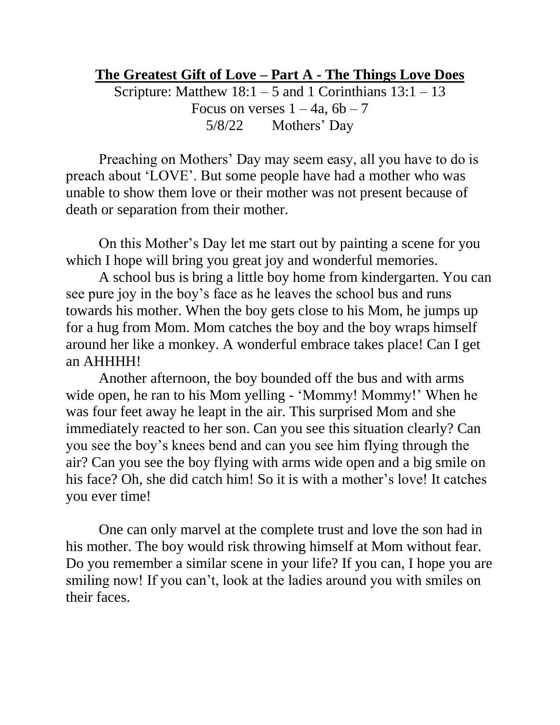## **The Greatest Gift of Love – Part A - The Things Love Does**

Scripture: Matthew  $18:1 - 5$  and 1 Corinthians  $13:1 - 13$ Focus on verses  $1 - 4a$ ,  $6b - 7$ 5/8/22 Mothers' Day

Preaching on Mothers' Day may seem easy, all you have to do is preach about 'LOVE'. But some people have had a mother who was unable to show them love or their mother was not present because of death or separation from their mother.

On this Mother's Day let me start out by painting a scene for you which I hope will bring you great joy and wonderful memories.

A school bus is bring a little boy home from kindergarten. You can see pure joy in the boy's face as he leaves the school bus and runs towards his mother. When the boy gets close to his Mom, he jumps up for a hug from Mom. Mom catches the boy and the boy wraps himself around her like a monkey. A wonderful embrace takes place! Can I get an AHHHH!

Another afternoon, the boy bounded off the bus and with arms wide open, he ran to his Mom yelling - 'Mommy! Mommy!' When he was four feet away he leapt in the air. This surprised Mom and she immediately reacted to her son. Can you see this situation clearly? Can you see the boy's knees bend and can you see him flying through the air? Can you see the boy flying with arms wide open and a big smile on his face? Oh, she did catch him! So it is with a mother's love! It catches you ever time!

One can only marvel at the complete trust and love the son had in his mother. The boy would risk throwing himself at Mom without fear. Do you remember a similar scene in your life? If you can, I hope you are smiling now! If you can't, look at the ladies around you with smiles on their faces.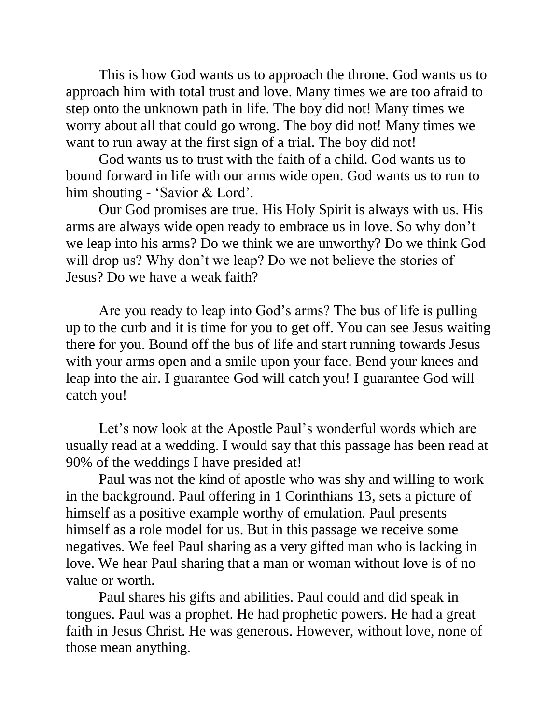This is how God wants us to approach the throne. God wants us to approach him with total trust and love. Many times we are too afraid to step onto the unknown path in life. The boy did not! Many times we worry about all that could go wrong. The boy did not! Many times we want to run away at the first sign of a trial. The boy did not!

God wants us to trust with the faith of a child. God wants us to bound forward in life with our arms wide open. God wants us to run to him shouting - 'Savior & Lord'.

Our God promises are true. His Holy Spirit is always with us. His arms are always wide open ready to embrace us in love. So why don't we leap into his arms? Do we think we are unworthy? Do we think God will drop us? Why don't we leap? Do we not believe the stories of Jesus? Do we have a weak faith?

Are you ready to leap into God's arms? The bus of life is pulling up to the curb and it is time for you to get off. You can see Jesus waiting there for you. Bound off the bus of life and start running towards Jesus with your arms open and a smile upon your face. Bend your knees and leap into the air. I guarantee God will catch you! I guarantee God will catch you!

Let's now look at the Apostle Paul's wonderful words which are usually read at a wedding. I would say that this passage has been read at 90% of the weddings I have presided at!

Paul was not the kind of apostle who was shy and willing to work in the background. Paul offering in 1 Corinthians 13, sets a picture of himself as a positive example worthy of emulation. Paul presents himself as a role model for us. But in this passage we receive some negatives. We feel Paul sharing as a very gifted man who is lacking in love. We hear Paul sharing that a man or woman without love is of no value or worth.

Paul shares his gifts and abilities. Paul could and did speak in tongues. Paul was a prophet. He had prophetic powers. He had a great faith in Jesus Christ. He was generous. However, without love, none of those mean anything.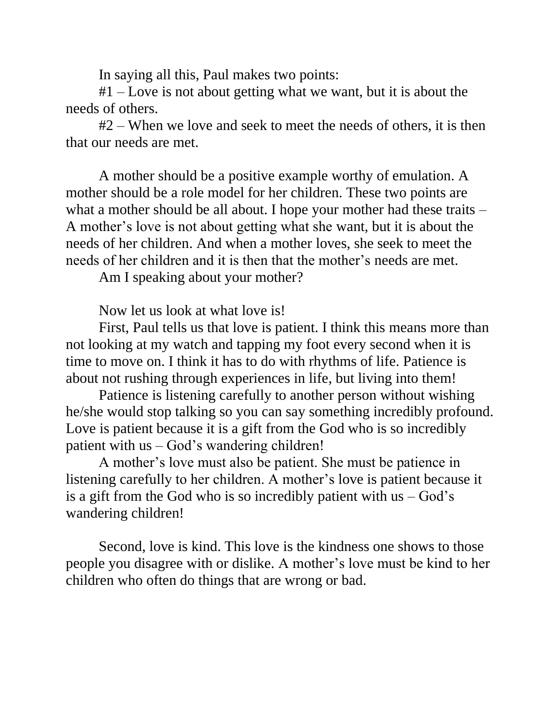In saying all this, Paul makes two points:

#1 – Love is not about getting what we want, but it is about the needs of others.

#2 – When we love and seek to meet the needs of others, it is then that our needs are met.

A mother should be a positive example worthy of emulation. A mother should be a role model for her children. These two points are what a mother should be all about. I hope your mother had these traits – A mother's love is not about getting what she want, but it is about the needs of her children. And when a mother loves, she seek to meet the needs of her children and it is then that the mother's needs are met.

Am I speaking about your mother?

Now let us look at what love is!

First, Paul tells us that love is patient. I think this means more than not looking at my watch and tapping my foot every second when it is time to move on. I think it has to do with rhythms of life. Patience is about not rushing through experiences in life, but living into them!

Patience is listening carefully to another person without wishing he/she would stop talking so you can say something incredibly profound. Love is patient because it is a gift from the God who is so incredibly patient with us – God's wandering children!

A mother's love must also be patient. She must be patience in listening carefully to her children. A mother's love is patient because it is a gift from the God who is so incredibly patient with  $us - God's$ wandering children!

Second, love is kind. This love is the kindness one shows to those people you disagree with or dislike. A mother's love must be kind to her children who often do things that are wrong or bad.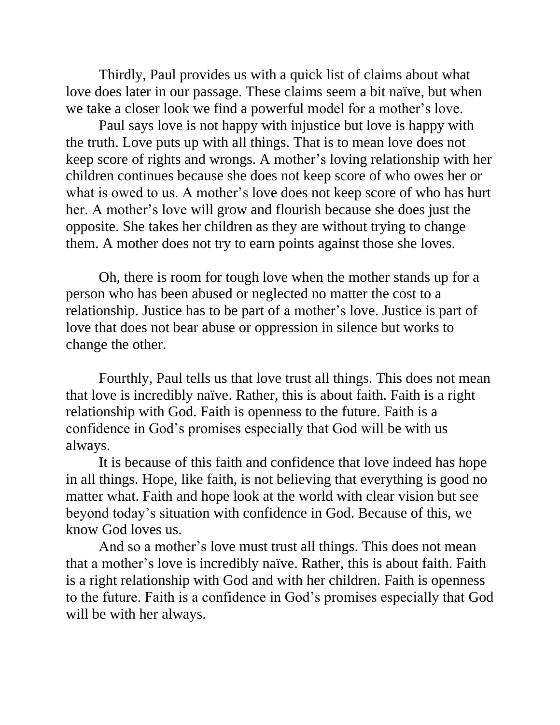Thirdly, Paul provides us with a quick list of claims about what love does later in our passage. These claims seem a bit naïve, but when we take a closer look we find a powerful model for a mother's love.

Paul says love is not happy with injustice but love is happy with the truth. Love puts up with all things. That is to mean love does not keep score of rights and wrongs. A mother's loving relationship with her children continues because she does not keep score of who owes her or what is owed to us. A mother's love does not keep score of who has hurt her. A mother's love will grow and flourish because she does just the opposite. She takes her children as they are without trying to change them. A mother does not try to earn points against those she loves.

Oh, there is room for tough love when the mother stands up for a person who has been abused or neglected no matter the cost to a relationship. Justice has to be part of a mother's love. Justice is part of love that does not bear abuse or oppression in silence but works to change the other.

Fourthly, Paul tells us that love trust all things. This does not mean that love is incredibly naïve. Rather, this is about faith. Faith is a right relationship with God. Faith is openness to the future. Faith is a confidence in God's promises especially that God will be with us always.

It is because of this faith and confidence that love indeed has hope in all things. Hope, like faith, is not believing that everything is good no matter what. Faith and hope look at the world with clear vision but see beyond today's situation with confidence in God. Because of this, we know God loves us.

And so a mother's love must trust all things. This does not mean that a mother's love is incredibly naïve. Rather, this is about faith. Faith is a right relationship with God and with her children. Faith is openness to the future. Faith is a confidence in God's promises especially that God will be with her always.